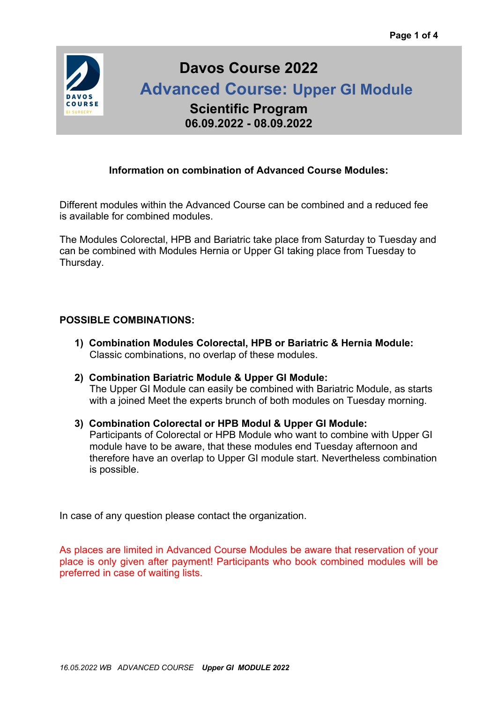

# **Davos Course 2022**

 **Advanced Course: Upper GI Module**

**Scientific Program 06.09.2022 - 08.09.2022**

### **Information on combination of Advanced Course Modules:**

Different modules within the Advanced Course can be combined and a reduced fee is available for combined modules.

The Modules Colorectal, HPB and Bariatric take place from Saturday to Tuesday and can be combined with Modules Hernia or Upper GI taking place from Tuesday to Thursday.

### **POSSIBLE COMBINATIONS:**

- **1) Combination Modules Colorectal, HPB or Bariatric & Hernia Module:** Classic combinations, no overlap of these modules.
- **2) Combination Bariatric Module & Upper GI Module:** The Upper GI Module can easily be combined with Bariatric Module, as starts with a joined Meet the experts brunch of both modules on Tuesday morning.
- **3) Combination Colorectal or HPB Modul & Upper GI Module:** Participants of Colorectal or HPB Module who want to combine with Upper GI module have to be aware, that these modules end Tuesday afternoon and therefore have an overlap to Upper GI module start. Nevertheless combination is possible.

In case of any question please contact the organization.

As places are limited in Advanced Course Modules be aware that reservation of your place is only given after payment! Participants who book combined modules will be preferred in case of waiting lists.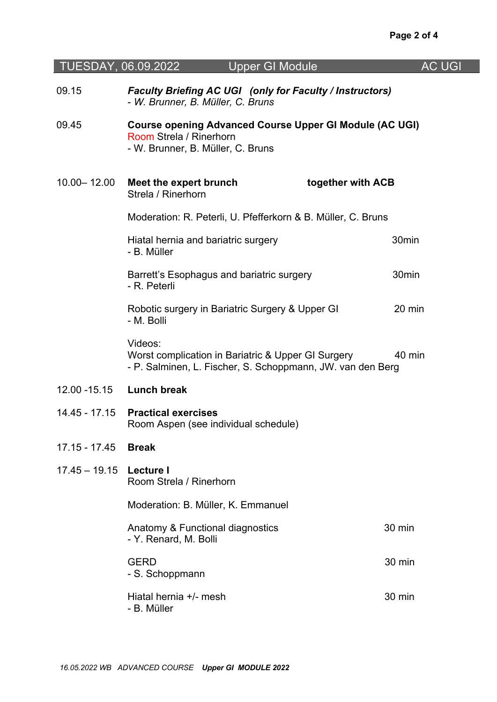| TUESDAY, 06.09.2022 | <b>Upper GI Module</b>                                                                                                         | <b>AC UGI</b>     |  |
|---------------------|--------------------------------------------------------------------------------------------------------------------------------|-------------------|--|
| 09.15               | Faculty Briefing AC UGI (only for Faculty / Instructors)<br>- W. Brunner, B. Müller, C. Bruns                                  |                   |  |
| 09.45               | <b>Course opening Advanced Course Upper GI Module (AC UGI)</b><br>Room Strela / Rinerhorn<br>- W. Brunner, B. Müller, C. Bruns |                   |  |
| $10.00 - 12.00$     | together with ACB<br>Meet the expert brunch<br>Strela / Rinerhorn                                                              |                   |  |
|                     | Moderation: R. Peterli, U. Pfefferkorn & B. Müller, C. Bruns                                                                   |                   |  |
|                     | Hiatal hernia and bariatric surgery<br>- B. Müller                                                                             | 30 <sub>min</sub> |  |
|                     | Barrett's Esophagus and bariatric surgery<br>- R. Peterli                                                                      | 30 <sub>min</sub> |  |
|                     | Robotic surgery in Bariatric Surgery & Upper GI<br>- M. Bolli                                                                  | 20 min            |  |
|                     | Videos:<br>Worst complication in Bariatric & Upper GI Surgery<br>- P. Salminen, L. Fischer, S. Schoppmann, JW. van den Berg    | 40 min            |  |
| 12.00 - 15.15       | <b>Lunch break</b>                                                                                                             |                   |  |
| 14.45 - 17.15       | <b>Practical exercises</b><br>Room Aspen (see individual schedule)                                                             |                   |  |
| $17.15 - 17.45$     | <b>Break</b>                                                                                                                   |                   |  |
| $17.45 - 19.15$     | Lecture I<br>Room Strela / Rinerhorn                                                                                           |                   |  |
|                     | Moderation: B. Müller, K. Emmanuel                                                                                             |                   |  |
|                     | Anatomy & Functional diagnostics<br>- Y. Renard, M. Bolli                                                                      | 30 min            |  |
|                     | <b>GERD</b><br>- S. Schoppmann                                                                                                 | 30 min            |  |
|                     | Hiatal hernia +/- mesh<br>- B. Müller                                                                                          | 30 min            |  |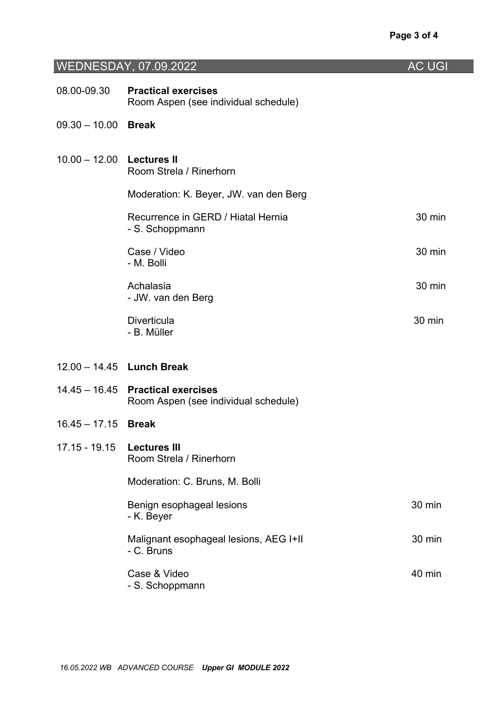## WEDNESDAY, 07.09.2022 AC UGI

| 08.00-09.30               | <b>Practical exercises</b>                                         |        |
|---------------------------|--------------------------------------------------------------------|--------|
|                           | Room Aspen (see individual schedule)                               |        |
| $09.30 - 10.00$           | <b>Break</b>                                                       |        |
| 10.00 - 12.00 Lectures II | Room Strela / Rinerhorn                                            |        |
|                           | Moderation: K. Beyer, JW. van den Berg                             |        |
|                           | Recurrence in GERD / Hiatal Hernia<br>- S. Schoppmann              | 30 min |
|                           | Case / Video<br>- M. Bolli                                         | 30 min |
|                           | Achalasia<br>- JW. van den Berg                                    | 30 min |
|                           | <b>Diverticula</b><br>- B. Müller                                  | 30 min |
|                           | 12.00 - 14.45 Lunch Break                                          |        |
| $14.45 - 16.45$           | <b>Practical exercises</b><br>Room Aspen (see individual schedule) |        |
| $16.45 - 17.15$           | <b>Break</b>                                                       |        |
| 17.15 - 19.15             | <b>Lectures III</b><br>Room Strela / Rinerhorn                     |        |
|                           | Moderation: C. Bruns, M. Bolli                                     |        |
|                           | Benign esophageal lesions<br>- K. Beyer                            | 30 min |
|                           | Malignant esophageal lesions, AEG I+II<br>- C. Bruns               | 30 min |
|                           | Case & Video<br>- S. Schoppmann                                    | 40 min |